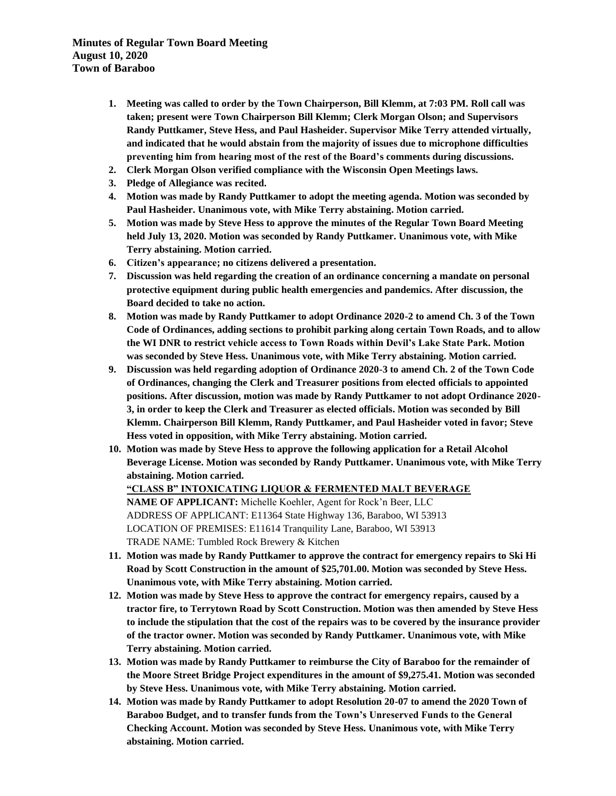**Minutes of Regular Town Board Meeting August 10, 2020 Town of Baraboo**

- **1. Meeting was called to order by the Town Chairperson, Bill Klemm, at 7:03 PM. Roll call was taken; present were Town Chairperson Bill Klemm; Clerk Morgan Olson; and Supervisors Randy Puttkamer, Steve Hess, and Paul Hasheider. Supervisor Mike Terry attended virtually, and indicated that he would abstain from the majority of issues due to microphone difficulties preventing him from hearing most of the rest of the Board's comments during discussions.**
- **2. Clerk Morgan Olson verified compliance with the Wisconsin Open Meetings laws.**
- **3. Pledge of Allegiance was recited.**
- **4. Motion was made by Randy Puttkamer to adopt the meeting agenda. Motion was seconded by Paul Hasheider. Unanimous vote, with Mike Terry abstaining. Motion carried.**
- **5. Motion was made by Steve Hess to approve the minutes of the Regular Town Board Meeting held July 13, 2020. Motion was seconded by Randy Puttkamer. Unanimous vote, with Mike Terry abstaining. Motion carried.**
- **6. Citizen's appearance; no citizens delivered a presentation.**
- **7. Discussion was held regarding the creation of an ordinance concerning a mandate on personal protective equipment during public health emergencies and pandemics. After discussion, the Board decided to take no action.**
- **8. Motion was made by Randy Puttkamer to adopt Ordinance 2020-2 to amend Ch. 3 of the Town Code of Ordinances, adding sections to prohibit parking along certain Town Roads, and to allow the WI DNR to restrict vehicle access to Town Roads within Devil's Lake State Park. Motion was seconded by Steve Hess. Unanimous vote, with Mike Terry abstaining. Motion carried.**
- **9. Discussion was held regarding adoption of Ordinance 2020-3 to amend Ch. 2 of the Town Code of Ordinances, changing the Clerk and Treasurer positions from elected officials to appointed positions. After discussion, motion was made by Randy Puttkamer to not adopt Ordinance 2020- 3, in order to keep the Clerk and Treasurer as elected officials. Motion was seconded by Bill Klemm. Chairperson Bill Klemm, Randy Puttkamer, and Paul Hasheider voted in favor; Steve Hess voted in opposition, with Mike Terry abstaining. Motion carried.**
- **10. Motion was made by Steve Hess to approve the following application for a Retail Alcohol Beverage License. Motion was seconded by Randy Puttkamer. Unanimous vote, with Mike Terry abstaining. Motion carried.**

**"CLASS B" INTOXICATING LIQUOR & FERMENTED MALT BEVERAGE NAME OF APPLICANT:** Michelle Koehler, Agent for Rock'n Beer, LLC ADDRESS OF APPLICANT: E11364 State Highway 136, Baraboo, WI 53913 LOCATION OF PREMISES: E11614 Tranquility Lane, Baraboo, WI 53913 TRADE NAME: Tumbled Rock Brewery & Kitchen

- **11. Motion was made by Randy Puttkamer to approve the contract for emergency repairs to Ski Hi Road by Scott Construction in the amount of \$25,701.00. Motion was seconded by Steve Hess. Unanimous vote, with Mike Terry abstaining. Motion carried.**
- **12. Motion was made by Steve Hess to approve the contract for emergency repairs, caused by a tractor fire, to Terrytown Road by Scott Construction. Motion was then amended by Steve Hess to include the stipulation that the cost of the repairs was to be covered by the insurance provider of the tractor owner. Motion was seconded by Randy Puttkamer. Unanimous vote, with Mike Terry abstaining. Motion carried.**
- **13. Motion was made by Randy Puttkamer to reimburse the City of Baraboo for the remainder of the Moore Street Bridge Project expenditures in the amount of \$9,275.41. Motion was seconded by Steve Hess. Unanimous vote, with Mike Terry abstaining. Motion carried.**
- **14. Motion was made by Randy Puttkamer to adopt Resolution 20-07 to amend the 2020 Town of Baraboo Budget, and to transfer funds from the Town's Unreserved Funds to the General Checking Account. Motion was seconded by Steve Hess. Unanimous vote, with Mike Terry abstaining. Motion carried.**